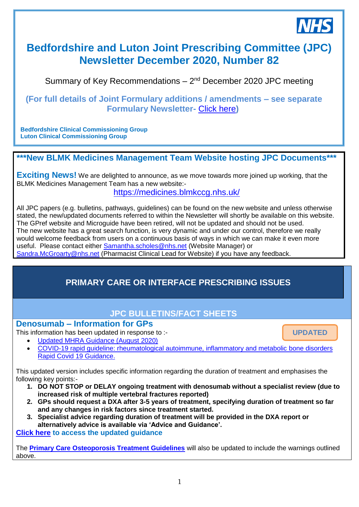

# **Bedfordshire and Luton Joint Prescribing Committee (JPC) Newsletter December 2020, Number 82**

Summary of Key Recommendations - 2<sup>nd</sup> December 2020 JPC meeting

## **(For full details of Joint Formulary additions / amendments – see separate Formulary Newsletter-** [Click here](https://medicines.blmkccg.nhs.uk/newsletter/formulary-newsletter-december-2020/)**)**

**Bedfordshire Clinical Commissioning Group Luton Clinical Commissioning Group**

# **\*\*\*New BLMK Medicines Management Team Website hosting JPC Documents\*\*\***

**Exciting News!** We are delighted to announce, as we move towards more joined up working, that the BLMK Medicines Management Team has a new website:-

<https://medicines.blmkccg.nhs.uk/>

All JPC papers (e.g. bulletins, pathways, guidelines) can be found on the new website and unless otherwise stated, the new/updated documents referred to within the Newsletter will shortly be available on this website. The GPref website and Microguide have been retired, will not be updated and should not be used. The new website has a great search function, is very dynamic and under our control, therefore we really would welcome feedback from users on a continuous basis of ways in which we can make it even more useful. Please contact either [Samantha.scholes@nhs.net](mailto:Samantha.scholes@nhs.net) (Website Manager) or [Sandra.McGroarty@nhs.net](mailto:Sandra.McGroarty@nhs.net) (Pharmacist Clinical Lead for Website) if you have any feedback. *28th November 2018*

# **PRIMARY CARE OR INTERFACE PRESCRIBING ISSUES**

# **JPC BULLETINS/FACT SHEETS**

### **Denosumab – Information for GPs**

This information has been updated in response to :-

**UPDATED**

- [Updated MHRA Guidance \(August 2020\)](https://assets.publishing.service.gov.uk/government/uploads/system/uploads/attachment_data/file/912231/Aug-2020-DSU-PDF.pdf)
- [COVID-19 rapid guideline: rheumatological autoimmune, inflammatory and metabolic bone disorders](https://www.nice.org.uk/guidance/ng167/resources/covid19-rapid-guideline-rheumatological-autoimmune-inflammatory-and-metabolic-bone-disorders-pdf-66141905788357)  [Rapid Covid 19 Guidance.](https://www.nice.org.uk/guidance/ng167/resources/covid19-rapid-guideline-rheumatological-autoimmune-inflammatory-and-metabolic-bone-disorders-pdf-66141905788357)

This updated version includes specific information regarding the duration of treatment and emphasises the following key points:-

- **1. DO NOT STOP or DELAY ongoing treatment with denosumab without a specialist review (due to increased risk of multiple vertebral fractures reported)**
- **2. GPs should request a DXA after 3-5 years of treatment, specifying duration of treatment so far and any changes in risk factors since treatment started.**
- **3. Specialist advice regarding duration of treatment will be provided in the DXA report or alternatively advice is available via 'Advice and Guidance'.**

**[Click here](https://medicines.blmkccg.nhs.uk/guideline/denosumab-information-for-gps/) to access the updated guidance**

The **[Primary Care Osteoporosis Treatment Guidelines](https://medicines.blmkccg.nhs.uk/guideline/osteoporosis-guideline/)** will also be updated to include the warnings outlined above.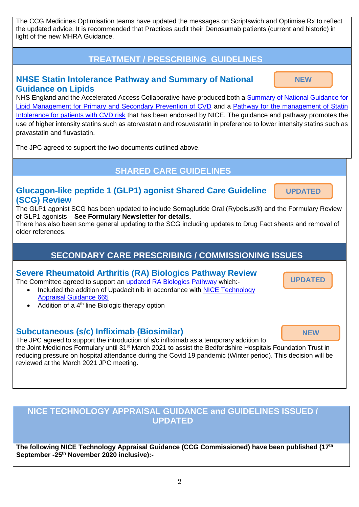The CCG Medicines Optimisation teams have updated the messages on Scriptswich and Optimise Rx to reflect the updated advice. It is recommended that Practices audit their Denosumab patients (current and historic) in light of the new MHRA Guidance.

# **TREATMENT / PRESCRIBING GUIDELINES**

## **NHSE Statin Intolerance Pathway and Summary of National Guidance on Lipids**

**NEW**

**UPDATED**

**UPDATED NEW**

NHS England and the Accelerated Access Collaborative have produced both a [Summary of National Guidance for](https://www.england.nhs.uk/aac/wp-content/uploads/sites/50/2020/09/lipid-management-pathway-03092020.pdf)  [Lipid Management for Primary and Secondary Prevention of CVD](https://www.england.nhs.uk/aac/wp-content/uploads/sites/50/2020/09/lipid-management-pathway-03092020.pdf) and a [Pathway for the management of Statin](https://www.england.nhs.uk/aac/wp-content/uploads/sites/50/2020/09/statin-intolerance-pathway-03092020.pdf)  [Intolerance for patients with CVD risk](https://www.england.nhs.uk/aac/wp-content/uploads/sites/50/2020/09/statin-intolerance-pathway-03092020.pdf) that has been endorsed by NICE. The guidance and pathway promotes the use of higher intensity statins such as atorvastatin and rosuvastatin in preference to lower intensity statins such as pravastatin and fluvastatin.

The JPC agreed to support the two documents outlined above.

**SHARED CARE GUIDELINES**

## **Glucagon-like peptide 1 (GLP1) agonist Shared Care Guideline (SCG) Review**

The GLP1 agonist SCG has been updated to include Semaglutide Oral (Rybelsus®) and the Formulary Review of GLP1 agonists – **See Formulary Newsletter for details.**

There has also been some general updating to the SCG including updates to Drug Fact sheets and removal of older references.

# **SECONDARY CARE PRESCRIBING / COMMISSIONING ISSUES**

### **Severe Rheumatoid Arthritis (RA) Biologics Pathway Review**

The Committee agreed to support an [updated RA Biologics Pathway](https://medicines.blmkccg.nhs.uk/guideline/rheumatoid-arthritis-drug-treatment-options-for-severe-rheumatoid-arthritis-algorithm-a/) which:-

- Included the addition of Upadacitinib in accordance with [NICE Technology](https://www.nice.org.uk/guidance/TA665)  [Appraisal Guidance 665](https://www.nice.org.uk/guidance/TA665)
- $\bullet$  Addition of a 4<sup>th</sup> line Biologic therapy option

# **Subcutaneous (s/c) Infliximab (Biosimilar)**

The JPC agreed to support the introduction of s/c infliximab as a temporary addition to the Joint Medicines Formulary until 31<sup>st</sup> March 2021 to assist the Bedfordshire Hospitals Foundation Trust in reducing pressure on hospital attendance during the Covid 19 pandemic (Winter period). This decision will be reviewed at the March 2021 JPC meeting. **NEW**

# **NICE TECHNOLOGY APPRAISAL GUIDANCE and GUIDELINES ISSUED / UPDATED**

**The following NICE Technology Appraisal Guidance (CCG Commissioned) have been published (17th September -25th November 2020 inclusive):-**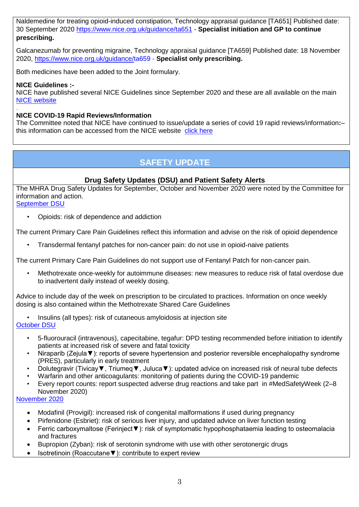Naldemedine for treating opioid-induced constipation, Technology appraisal guidance [TA651] Published date: 30 September 2020<https://www.nice.org.uk/guidance/ta651> - **Specialist initiation and GP to continue prescribing.**

Galcanezumab for preventing migraine, Technology appraisal guidance [TA659] Published date: 18 November 2020,<https://www.nice.org.uk/guidance/ta659> - **Specialist only prescribing.**

Both medicines have been added to the Joint formulary.

### **NICE Guidelines :-**

NICE have published several NICE Guidelines since September 2020 and these are all available on the main [NICE website](https://www.nice.org.uk/)

#### . **NICE COVID-19 Rapid Reviews/Information**

The Committee noted that NICE have continued to issue/update a series of covid 19 rapid reviews/information**:**– this information can be accessed from the NICE website [click here](https://www.nice.org.uk/covid-19)

# **SAFETY UPDATE**

### **Drug Safety Updates (DSU) and Patient Safety Alerts**

The MHRA Drug Safety Updates for September, October and November 2020 were noted by the Committee for information and action.

[September DSU](https://assets.publishing.service.gov.uk/government/uploads/system/uploads/attachment_data/file/920770/Sept-2020-DSU-PDF.pdf)

• Opioids: risk of dependence and addiction

The current Primary Care Pain Guidelines reflect this information and advise on the risk of opioid dependence

• Transdermal fentanyl patches for non-cancer pain: do not use in opioid-naive patients

The current Primary Care Pain Guidelines do not support use of Fentanyl Patch for non-cancer pain.

• Methotrexate once-weekly for autoimmune diseases: new measures to reduce risk of fatal overdose due to inadvertent daily instead of weekly dosing.

Advice to include day of the week on prescription to be circulated to practices. Information on once weekly dosing is also contained within the Methotrexate Shared Care Guidelines

• Insulins (all types): risk of cutaneous amyloidosis at injection site [October DSU](https://assets.publishing.service.gov.uk/government/uploads/system/uploads/attachment_data/file/928774/Oct-2020-DSU-PDF.pdf)

- 5-fluorouracil (intravenous), capecitabine, tegafur: DPD testing recommended before initiation to identify patients at increased risk of severe and fatal toxicity
- Niraparib (Zejula▼): reports of severe hypertension and posterior reversible encephalopathy syndrome (PRES), particularly in early treatment
- Dolutegravir (Tivicay▼, Triumeq▼, Juluca▼): updated advice on increased risk of neural tube defects
- Warfarin and other anticoagulants: monitoring of patients during the COVID-19 pandemic
- Every report counts: report suspected adverse drug reactions and take part in #MedSafetyWeek (2–8 November 2020)

### [November 2020](https://assets.publishing.service.gov.uk/government/uploads/system/uploads/attachment_data/file/936767/Nov-2020-DSU-PDF-1.pdf)

- Modafinil (Provigil): increased risk of congenital malformations if used during pregnancy
- Pirfenidone (Esbriet): risk of serious liver injury, and updated advice on liver function testing
- Ferric carboxymaltose (Ferinject▼): risk of symptomatic hypophosphataemia leading to osteomalacia and fractures
- Bupropion (Zyban): risk of serotonin syndrome with use with other serotonergic drugs
- Isotretinoin (Roaccutane▼): contribute to expert review